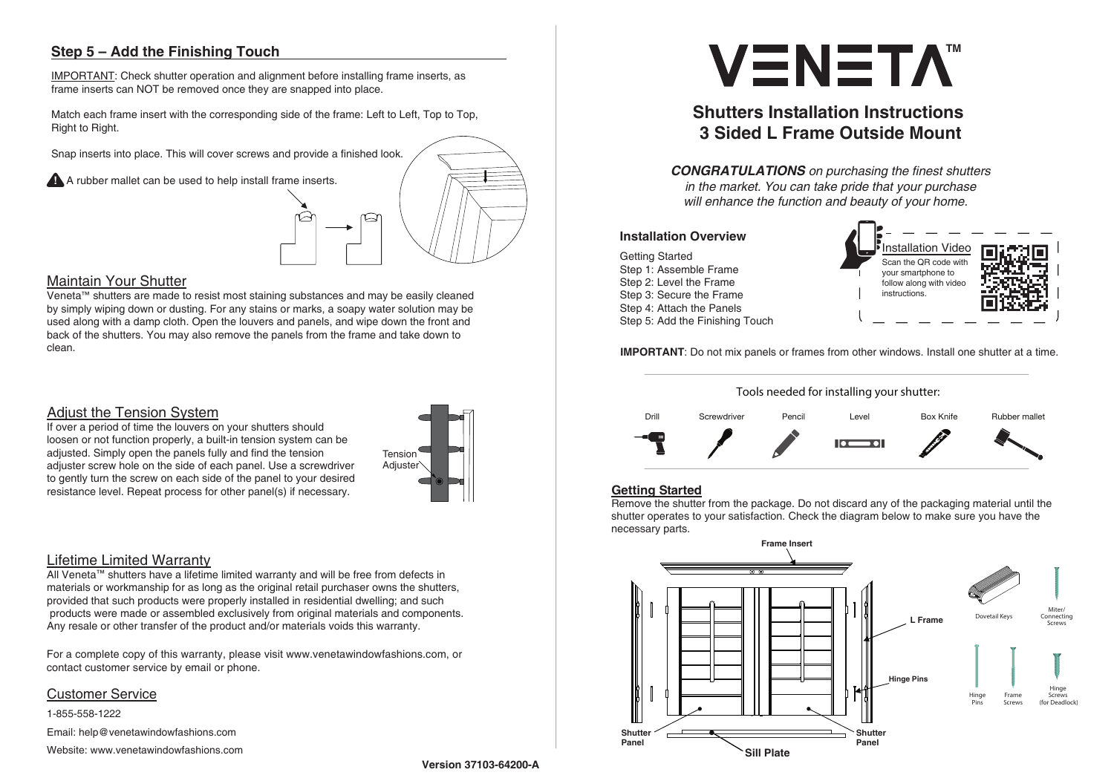### Lifetime Limited Warranty

All Veneta™ shutters have a lifetime limited warranty and will be free from defects in materials or workmanship for as long as the original retail purchaser owns the shutters, provided that such products were properly installed in residential dwelling; and such products were made or assembled exclusively from original materials and components. Any resale or other transfer of the product and/or materials voids this warranty.

For a complete copy of this warranty, please visit www.venetawindowfashions.com, or contact customer service by email or phone.

#### Customer Service

1-855-558-1222

Email: help@venetawindowfashions.com

Website: www.venetawindowfashions.com

### Adjust the Tension System

Veneta™ shutters are made to resist most staining substances and may be easily cleaned by simply wiping down or dusting. For any stains or marks, a soapy water solution may be used along with a damp cloth. Open the louvers and panels, and wipe down the front and back of the shutters. You may also remove the panels from the frame and take down to clean.

### Maintain Your Shutter

If over a period of time the louvers on your shutters should loosen or not function properly, a built-in tension system can be adjusted. Simply open the panels fully and find the tension adjuster screw hole on the side of each panel. Use a screwdriver to gently turn the screw on each side of the panel to your desired resistance level. Repeat process for other panel(s) if necessary.



**Version 37103-64200-A**

# **3 Sided L Frame Outside Mount**

*CONGRATULATIONS on purchasing the* fi*nest shutters in the market. You can take pride that your purchase will enhance the function and beauty of your home.*

#### **IMPORTANT**: Do not mix panels or frames from other windows. Install one shutter at a time.

Getting Started Step 1: Assemble Frame Step 2: Level the Frame Step 3: Secure the Frame Step 4: Attach the Panels Step 5: Add the Finishing Touch



#### **Installation Overview**





#### **Getting Started**

Remove the shutter from the package. Do not discard any of the packaging material until the shutter operates to your satisfaction. Check the diagram below to make sure you have the necessary parts.



IMPORTANT: Check shutter operation and alignment before installing frame inserts, as frame inserts can NOT be removed once they are snapped into place.



Match each frame insert with the corresponding side of the frame: Left to Left, Top to Top, Right to Right.

Snap inserts into place. This will cover screws and provide a finished look.

A A rubber mallet can be used to help install frame inserts.



# **Step 5 – Add the Finishing Touch**